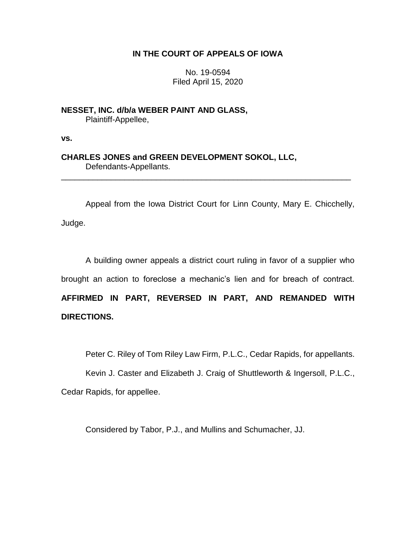# **IN THE COURT OF APPEALS OF IOWA**

No. 19-0594 Filed April 15, 2020

**NESSET, INC. d/b/a WEBER PAINT AND GLASS,** Plaintiff-Appellee,

**vs.**

**CHARLES JONES and GREEN DEVELOPMENT SOKOL, LLC,** Defendants-Appellants.

Appeal from the Iowa District Court for Linn County, Mary E. Chicchelly, Judge.

\_\_\_\_\_\_\_\_\_\_\_\_\_\_\_\_\_\_\_\_\_\_\_\_\_\_\_\_\_\_\_\_\_\_\_\_\_\_\_\_\_\_\_\_\_\_\_\_\_\_\_\_\_\_\_\_\_\_\_\_\_\_\_\_

A building owner appeals a district court ruling in favor of a supplier who brought an action to foreclose a mechanic's lien and for breach of contract. **AFFIRMED IN PART, REVERSED IN PART, AND REMANDED WITH DIRECTIONS.**

Peter C. Riley of Tom Riley Law Firm, P.L.C., Cedar Rapids, for appellants.

Kevin J. Caster and Elizabeth J. Craig of Shuttleworth & Ingersoll, P.L.C., Cedar Rapids, for appellee.

Considered by Tabor, P.J., and Mullins and Schumacher, JJ.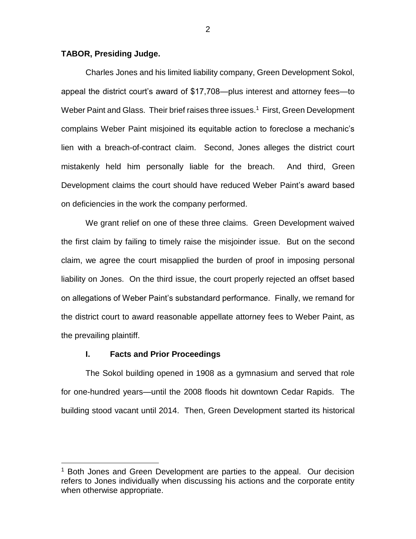## **TABOR, Presiding Judge.**

Charles Jones and his limited liability company, Green Development Sokol, appeal the district court's award of \$17,708—plus interest and attorney fees—to Weber Paint and Glass. Their brief raises three issues.<sup>1</sup> First, Green Development complains Weber Paint misjoined its equitable action to foreclose a mechanic's lien with a breach-of-contract claim. Second, Jones alleges the district court mistakenly held him personally liable for the breach. And third, Green Development claims the court should have reduced Weber Paint's award based on deficiencies in the work the company performed.

We grant relief on one of these three claims. Green Development waived the first claim by failing to timely raise the misjoinder issue. But on the second claim, we agree the court misapplied the burden of proof in imposing personal liability on Jones. On the third issue, the court properly rejected an offset based on allegations of Weber Paint's substandard performance. Finally, we remand for the district court to award reasonable appellate attorney fees to Weber Paint, as the prevailing plaintiff.

#### **I. Facts and Prior Proceedings**

 $\overline{a}$ 

The Sokol building opened in 1908 as a gymnasium and served that role for one-hundred years—until the 2008 floods hit downtown Cedar Rapids. The building stood vacant until 2014. Then, Green Development started its historical

<sup>&</sup>lt;sup>1</sup> Both Jones and Green Development are parties to the appeal. Our decision refers to Jones individually when discussing his actions and the corporate entity when otherwise appropriate.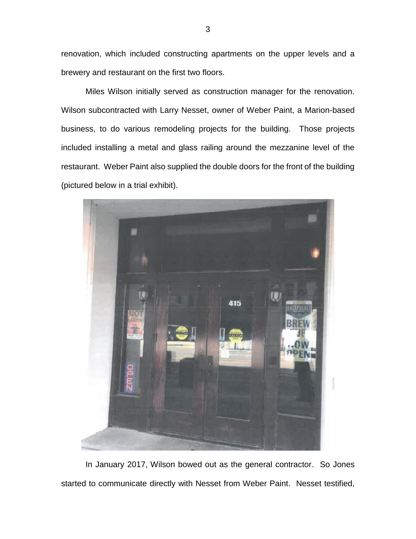renovation, which included constructing apartments on the upper levels and a brewery and restaurant on the first two floors.

Miles Wilson initially served as construction manager for the renovation. Wilson subcontracted with Larry Nesset, owner of Weber Paint, a Marion-based business, to do various remodeling projects for the building. Those projects included installing a metal and glass railing around the mezzanine level of the restaurant. Weber Paint also supplied the double doors for the front of the building (pictured below in a trial exhibit).



In January 2017, Wilson bowed out as the general contractor. So Jones started to communicate directly with Nesset from Weber Paint. Nesset testified,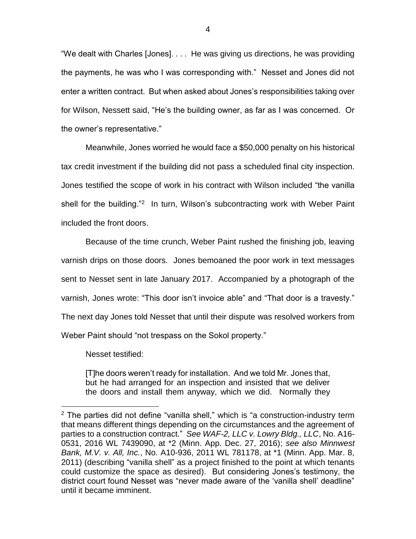"We dealt with Charles [Jones]. . . . He was giving us directions, he was providing the payments, he was who I was corresponding with." Nesset and Jones did not enter a written contract. But when asked about Jones's responsibilities taking over for Wilson, Nessett said, "He's the building owner, as far as I was concerned. Or the owner's representative."

Meanwhile, Jones worried he would face a \$50,000 penalty on his historical tax credit investment if the building did not pass a scheduled final city inspection. Jones testified the scope of work in his contract with Wilson included "the vanilla shell for the building."<sup>2</sup> In turn, Wilson's subcontracting work with Weber Paint included the front doors.

Because of the time crunch, Weber Paint rushed the finishing job, leaving varnish drips on those doors. Jones bemoaned the poor work in text messages sent to Nesset sent in late January 2017. Accompanied by a photograph of the varnish, Jones wrote: "This door isn't invoice able" and "That door is a travesty." The next day Jones told Nesset that until their dispute was resolved workers from Weber Paint should "not trespass on the Sokol property."

Nesset testified:

 $\overline{a}$ 

[T]he doors weren't ready for installation. And we told Mr. Jones that, but he had arranged for an inspection and insisted that we deliver the doors and install them anyway, which we did. Normally they

 $2$  The parties did not define "vanilla shell," which is "a construction-industry term that means different things depending on the circumstances and the agreement of parties to a construction contract." *See WAF-2, LLC v. Lowry Bldg., LLC*, No. A16- 0531, 2016 WL 7439090, at \*2 (Minn. App. Dec. 27, 2016); *see also Minnwest Bank, M.V. v. All, Inc.*, No. A10-936, 2011 WL 781178, at \*1 (Minn. App. Mar. 8, 2011) (describing "vanilla shell" as a project finished to the point at which tenants could customize the space as desired). But considering Jones's testimony, the district court found Nesset was "never made aware of the 'vanilla shell' deadline" until it became imminent.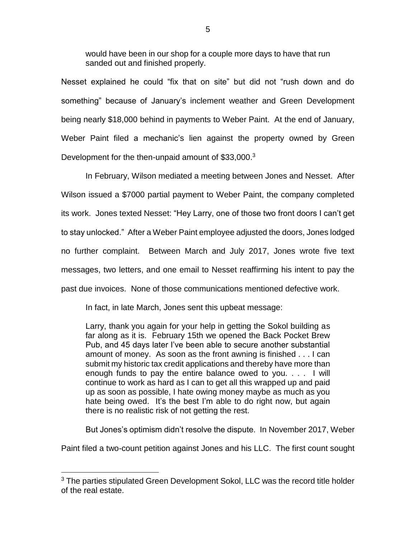would have been in our shop for a couple more days to have that run sanded out and finished properly.

Nesset explained he could "fix that on site" but did not "rush down and do something" because of January's inclement weather and Green Development being nearly \$18,000 behind in payments to Weber Paint. At the end of January, Weber Paint filed a mechanic's lien against the property owned by Green Development for the then-unpaid amount of \$33,000.<sup>3</sup>

In February, Wilson mediated a meeting between Jones and Nesset. After Wilson issued a \$7000 partial payment to Weber Paint, the company completed its work. Jones texted Nesset: "Hey Larry, one of those two front doors I can't get to stay unlocked." After a Weber Paint employee adjusted the doors, Jones lodged no further complaint. Between March and July 2017, Jones wrote five text messages, two letters, and one email to Nesset reaffirming his intent to pay the past due invoices. None of those communications mentioned defective work.

In fact, in late March, Jones sent this upbeat message:

Larry, thank you again for your help in getting the Sokol building as far along as it is. February 15th we opened the Back Pocket Brew Pub, and 45 days later I've been able to secure another substantial amount of money. As soon as the front awning is finished . . . I can submit my historic tax credit applications and thereby have more than enough funds to pay the entire balance owed to you. . . . I will continue to work as hard as I can to get all this wrapped up and paid up as soon as possible, I hate owing money maybe as much as you hate being owed. It's the best I'm able to do right now, but again there is no realistic risk of not getting the rest.

But Jones's optimism didn't resolve the dispute. In November 2017, Weber

Paint filed a two-count petition against Jones and his LLC. The first count sought

 $\overline{a}$ 

 $3$  The parties stipulated Green Development Sokol, LLC was the record title holder of the real estate.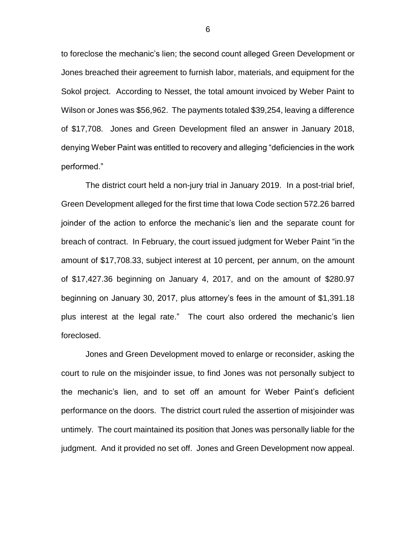to foreclose the mechanic's lien; the second count alleged Green Development or Jones breached their agreement to furnish labor, materials, and equipment for the Sokol project. According to Nesset, the total amount invoiced by Weber Paint to Wilson or Jones was \$56,962. The payments totaled \$39,254, leaving a difference of \$17,708. Jones and Green Development filed an answer in January 2018, denying Weber Paint was entitled to recovery and alleging "deficiencies in the work performed."

The district court held a non-jury trial in January 2019. In a post-trial brief, Green Development alleged for the first time that Iowa Code section 572.26 barred joinder of the action to enforce the mechanic's lien and the separate count for breach of contract. In February, the court issued judgment for Weber Paint "in the amount of \$17,708.33, subject interest at 10 percent, per annum, on the amount of \$17,427.36 beginning on January 4, 2017, and on the amount of \$280.97 beginning on January 30, 2017, plus attorney's fees in the amount of \$1,391.18 plus interest at the legal rate." The court also ordered the mechanic's lien foreclosed.

Jones and Green Development moved to enlarge or reconsider, asking the court to rule on the misjoinder issue, to find Jones was not personally subject to the mechanic's lien, and to set off an amount for Weber Paint's deficient performance on the doors. The district court ruled the assertion of misjoinder was untimely. The court maintained its position that Jones was personally liable for the judgment. And it provided no set off. Jones and Green Development now appeal.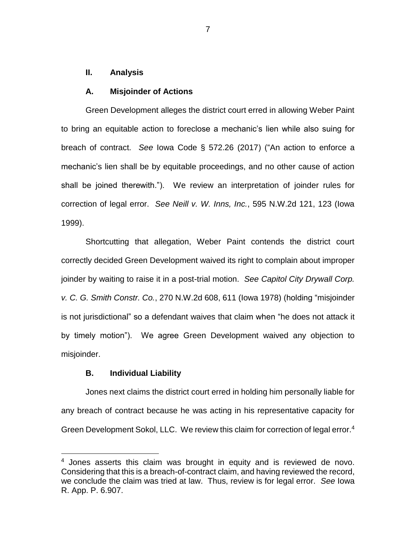## **II. Analysis**

#### **A. Misjoinder of Actions**

Green Development alleges the district court erred in allowing Weber Paint to bring an equitable action to foreclose a mechanic's lien while also suing for breach of contract. *See* Iowa Code § 572.26 (2017) ("An action to enforce a mechanic's lien shall be by equitable proceedings, and no other cause of action shall be joined therewith."). We review an interpretation of joinder rules for correction of legal error. *See Neill v. W. Inns, Inc.*, 595 N.W.2d 121, 123 (Iowa 1999).

Shortcutting that allegation, Weber Paint contends the district court correctly decided Green Development waived its right to complain about improper joinder by waiting to raise it in a post-trial motion. *See Capitol City Drywall Corp. v. C. G. Smith Constr. Co.*, 270 N.W.2d 608, 611 (Iowa 1978) (holding "misjoinder is not jurisdictional" so a defendant waives that claim when "he does not attack it by timely motion"). We agree Green Development waived any objection to misjoinder.

### **B. Individual Liability**

 $\overline{a}$ 

Jones next claims the district court erred in holding him personally liable for any breach of contract because he was acting in his representative capacity for Green Development Sokol, LLC. We review this claim for correction of legal error.<sup>4</sup>

<sup>&</sup>lt;sup>4</sup> Jones asserts this claim was brought in equity and is reviewed de novo. Considering that this is a breach-of-contract claim, and having reviewed the record, we conclude the claim was tried at law. Thus, review is for legal error. *See* Iowa R. App. P. 6.907.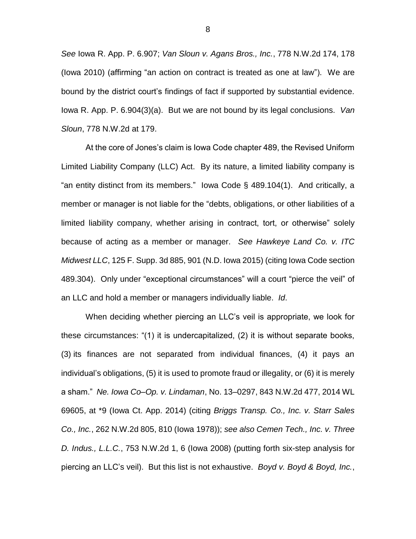*See* Iowa R. App. P. 6.907; *Van Sloun v. Agans Bros., Inc.*, 778 N.W.2d 174, 178 (Iowa 2010) (affirming "an action on contract is treated as one at law"). We are bound by the district court's findings of fact if supported by substantial evidence. Iowa R. App. P. 6.904(3)(a). But we are not bound by its legal conclusions. *Van Sloun*, 778 N.W.2d at 179.

At the core of Jones's claim is Iowa Code chapter 489, the Revised Uniform Limited Liability Company (LLC) Act. By its nature, a limited liability company is "an entity distinct from its members." Iowa Code § 489.104(1). And critically, a member or manager is not liable for the "debts, obligations, or other liabilities of a limited liability company, whether arising in contract, tort, or otherwise" solely because of acting as a member or manager. *See Hawkeye Land Co. v. ITC Midwest LLC*, 125 F. Supp. 3d 885, 901 (N.D. Iowa 2015) (citing Iowa Code section 489.304). Only under "exceptional circumstances" will a court "pierce the veil" of an LLC and hold a member or managers individually liable. *Id*.

When deciding whether piercing an LLC's veil is appropriate, we look for these circumstances: "(1) it is undercapitalized, (2) it is without separate books, (3) its finances are not separated from individual finances, (4) it pays an individual's obligations, (5) it is used to promote fraud or illegality, or (6) it is merely a sham." *Ne. Iowa Co–Op. v. Lindaman*, No. 13–0297, 843 N.W.2d 477, 2014 WL 69605, at \*9 (Iowa Ct. App. 2014) (citing *Briggs Transp. Co., Inc. v. Starr Sales Co., Inc.*, 262 N.W.2d 805, 810 (Iowa 1978)); *see also Cemen Tech., Inc. v. Three D. Indus., L.L.C.*, 753 N.W.2d 1, 6 (Iowa 2008) (putting forth six-step analysis for piercing an LLC's veil). But this list is not exhaustive. *Boyd v. Boyd & Boyd, Inc.*,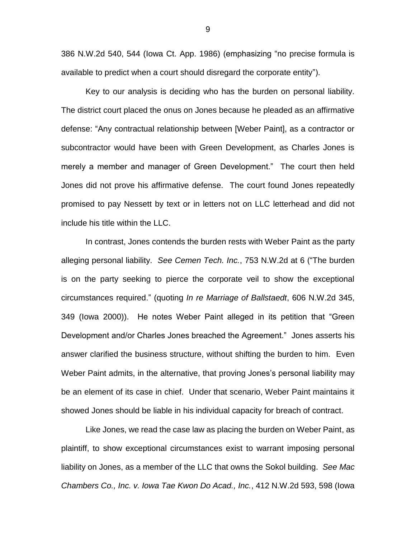386 N.W.2d 540, 544 (Iowa Ct. App. 1986) (emphasizing "no precise formula is available to predict when a court should disregard the corporate entity").

Key to our analysis is deciding who has the burden on personal liability. The district court placed the onus on Jones because he pleaded as an affirmative defense: "Any contractual relationship between [Weber Paint], as a contractor or subcontractor would have been with Green Development, as Charles Jones is merely a member and manager of Green Development." The court then held Jones did not prove his affirmative defense. The court found Jones repeatedly promised to pay Nessett by text or in letters not on LLC letterhead and did not include his title within the LLC.

In contrast, Jones contends the burden rests with Weber Paint as the party alleging personal liability. *See Cemen Tech. Inc.*, 753 N.W.2d at 6 ("The burden is on the party seeking to pierce the corporate veil to show the exceptional circumstances required." (quoting *In re Marriage of Ballstaedt*, 606 N.W.2d 345, 349 (Iowa 2000)). He notes Weber Paint alleged in its petition that "Green Development and/or Charles Jones breached the Agreement." Jones asserts his answer clarified the business structure, without shifting the burden to him. Even Weber Paint admits, in the alternative, that proving Jones's personal liability may be an element of its case in chief. Under that scenario, Weber Paint maintains it showed Jones should be liable in his individual capacity for breach of contract.

Like Jones, we read the case law as placing the burden on Weber Paint, as plaintiff, to show exceptional circumstances exist to warrant imposing personal liability on Jones, as a member of the LLC that owns the Sokol building. *See Mac Chambers Co., Inc. v. Iowa Tae Kwon Do Acad., Inc.*, 412 N.W.2d 593, 598 (Iowa

9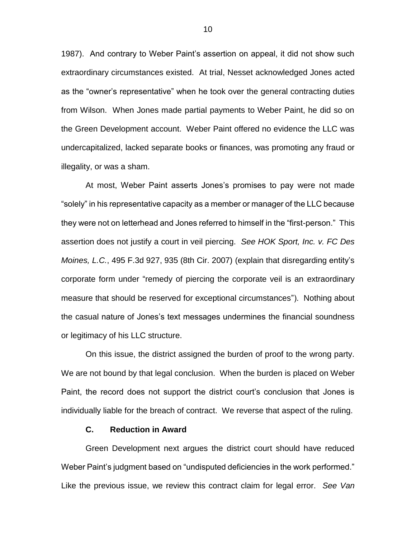1987). And contrary to Weber Paint's assertion on appeal, it did not show such extraordinary circumstances existed. At trial, Nesset acknowledged Jones acted as the "owner's representative" when he took over the general contracting duties from Wilson. When Jones made partial payments to Weber Paint, he did so on the Green Development account. Weber Paint offered no evidence the LLC was undercapitalized, lacked separate books or finances, was promoting any fraud or illegality, or was a sham.

At most, Weber Paint asserts Jones's promises to pay were not made "solely" in his representative capacity as a member or manager of the LLC because they were not on letterhead and Jones referred to himself in the "first-person." This assertion does not justify a court in veil piercing. *See HOK Sport, Inc. v. FC Des Moines, L.C.*, 495 F.3d 927, 935 (8th Cir. 2007) (explain that disregarding entity's corporate form under "remedy of piercing the corporate veil is an extraordinary measure that should be reserved for exceptional circumstances"). Nothing about the casual nature of Jones's text messages undermines the financial soundness or legitimacy of his LLC structure.

On this issue, the district assigned the burden of proof to the wrong party. We are not bound by that legal conclusion. When the burden is placed on Weber Paint, the record does not support the district court's conclusion that Jones is individually liable for the breach of contract. We reverse that aspect of the ruling.

### **C. Reduction in Award**

Green Development next argues the district court should have reduced Weber Paint's judgment based on "undisputed deficiencies in the work performed." Like the previous issue, we review this contract claim for legal error. *See Van*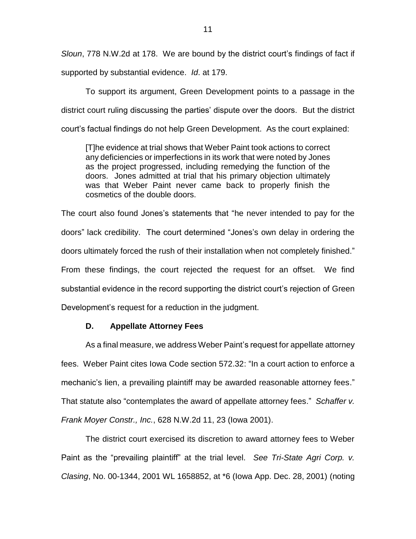*Sloun*, 778 N.W.2d at 178. We are bound by the district court's findings of fact if supported by substantial evidence. *Id*. at 179.

To support its argument, Green Development points to a passage in the district court ruling discussing the parties' dispute over the doors. But the district court's factual findings do not help Green Development. As the court explained:

[T]he evidence at trial shows that Weber Paint took actions to correct any deficiencies or imperfections in its work that were noted by Jones as the project progressed, including remedying the function of the doors. Jones admitted at trial that his primary objection ultimately was that Weber Paint never came back to properly finish the cosmetics of the double doors.

The court also found Jones's statements that "he never intended to pay for the doors" lack credibility. The court determined "Jones's own delay in ordering the doors ultimately forced the rush of their installation when not completely finished." From these findings, the court rejected the request for an offset. We find substantial evidence in the record supporting the district court's rejection of Green Development's request for a reduction in the judgment.

## **D. Appellate Attorney Fees**

As a final measure, we address Weber Paint's request for appellate attorney fees. Weber Paint cites Iowa Code section 572.32: "In a court action to enforce a mechanic's lien, a prevailing plaintiff may be awarded reasonable attorney fees." That statute also "contemplates the award of appellate attorney fees." *Schaffer v. Frank Moyer Constr., Inc.*, 628 N.W.2d 11, 23 (Iowa 2001).

The district court exercised its discretion to award attorney fees to Weber Paint as the "prevailing plaintiff" at the trial level. *See Tri-State Agri Corp. v. Clasing*, No. 00-1344, 2001 WL 1658852, at \*6 (Iowa App. Dec. 28, 2001) (noting